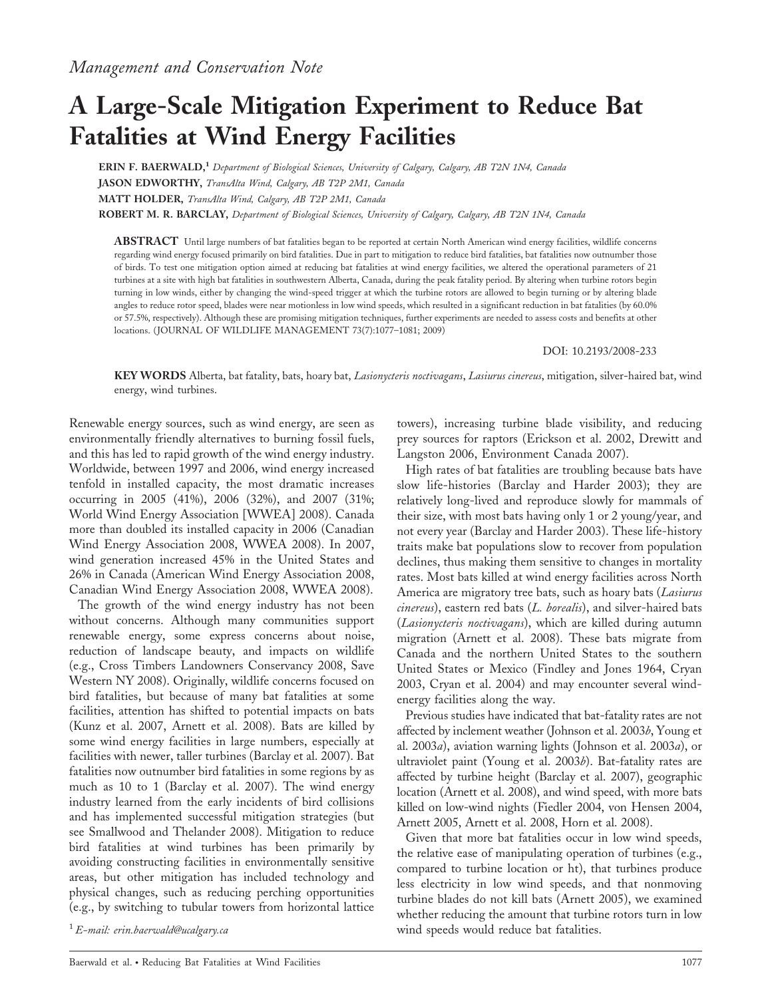# A Large-Scale Mitigation Experiment to Reduce Bat Fatalities at Wind Energy Facilities

ERIN F. BAERWALD,<sup>1</sup> Department of Biological Sciences, University of Calgary, Calgary, AB T2N 1N4, Canada JASON EDWORTHY, TransAlta Wind, Calgary, AB T2P 2M1, Canada MATT HOLDER, TransAlta Wind, Calgary, AB T2P 2M1, Canada ROBERT M. R. BARCLAY, Department of Biological Sciences, University of Calgary, Calgary, AB T2N 1N4, Canada

ABSTRACT Until large numbers of bat fatalities began to be reported at certain North American wind energy facilities, wildlife concerns regarding wind energy focused primarily on bird fatalities. Due in part to mitigation to reduce bird fatalities, bat fatalities now outnumber those of birds. To test one mitigation option aimed at reducing bat fatalities at wind energy facilities, we altered the operational parameters of 21 turbines at a site with high bat fatalities in southwestern Alberta, Canada, during the peak fatality period. By altering when turbine rotors begin turning in low winds, either by changing the wind-speed trigger at which the turbine rotors are allowed to begin turning or by altering blade angles to reduce rotor speed, blades were near motionless in low wind speeds, which resulted in a significant reduction in bat fatalities (by 60.0% or 57.5%, respectively). Although these are promising mitigation techniques, further experiments are needed to assess costs and benefits at other locations. (JOURNAL OF WILDLIFE MANAGEMENT 73(7):1077–1081; 2009)

#### DOI: 10.2193/2008-233

KEY WORDS Alberta, bat fatality, bats, hoary bat, Lasionycteris noctivagans, Lasiurus cinereus, mitigation, silver-haired bat, wind energy, wind turbines.

Renewable energy sources, such as wind energy, are seen as environmentally friendly alternatives to burning fossil fuels, and this has led to rapid growth of the wind energy industry. Worldwide, between 1997 and 2006, wind energy increased tenfold in installed capacity, the most dramatic increases occurring in 2005 (41%), 2006 (32%), and 2007 (31%; World Wind Energy Association [WWEA] 2008). Canada more than doubled its installed capacity in 2006 (Canadian Wind Energy Association 2008, WWEA 2008). In 2007, wind generation increased 45% in the United States and 26% in Canada (American Wind Energy Association 2008, Canadian Wind Energy Association 2008, WWEA 2008).

The growth of the wind energy industry has not been without concerns. Although many communities support renewable energy, some express concerns about noise, reduction of landscape beauty, and impacts on wildlife (e.g., Cross Timbers Landowners Conservancy 2008, Save Western NY 2008). Originally, wildlife concerns focused on bird fatalities, but because of many bat fatalities at some facilities, attention has shifted to potential impacts on bats (Kunz et al. 2007, Arnett et al. 2008). Bats are killed by some wind energy facilities in large numbers, especially at facilities with newer, taller turbines (Barclay et al. 2007). Bat fatalities now outnumber bird fatalities in some regions by as much as 10 to 1 (Barclay et al. 2007). The wind energy industry learned from the early incidents of bird collisions and has implemented successful mitigation strategies (but see Smallwood and Thelander 2008). Mitigation to reduce bird fatalities at wind turbines has been primarily by avoiding constructing facilities in environmentally sensitive areas, but other mitigation has included technology and physical changes, such as reducing perching opportunities (e.g., by switching to tubular towers from horizontal lattice towers), increasing turbine blade visibility, and reducing prey sources for raptors (Erickson et al. 2002, Drewitt and Langston 2006, Environment Canada 2007).

High rates of bat fatalities are troubling because bats have slow life-histories (Barclay and Harder 2003); they are relatively long-lived and reproduce slowly for mammals of their size, with most bats having only 1 or 2 young/year, and not every year (Barclay and Harder 2003). These life-history traits make bat populations slow to recover from population declines, thus making them sensitive to changes in mortality rates. Most bats killed at wind energy facilities across North America are migratory tree bats, such as hoary bats (Lasiurus  $cinereus$ ), eastern red bats  $(L.$  *borealis*), and silver-haired bats (Lasionycteris noctivagans), which are killed during autumn migration (Arnett et al. 2008). These bats migrate from Canada and the northern United States to the southern United States or Mexico (Findley and Jones 1964, Cryan 2003, Cryan et al. 2004) and may encounter several windenergy facilities along the way.

Previous studies have indicated that bat-fatality rates are not affected by inclement weather (Johnson et al. 2003b, Young et al. 2003a), aviation warning lights (Johnson et al. 2003a), or ultraviolet paint (Young et al. 2003b). Bat-fatality rates are affected by turbine height (Barclay et al. 2007), geographic location (Arnett et al. 2008), and wind speed, with more bats killed on low-wind nights (Fiedler 2004, von Hensen 2004, Arnett 2005, Arnett et al. 2008, Horn et al. 2008).

Given that more bat fatalities occur in low wind speeds, the relative ease of manipulating operation of turbines (e.g., compared to turbine location or ht), that turbines produce less electricity in low wind speeds, and that nonmoving turbine blades do not kill bats (Arnett 2005), we examined whether reducing the amount that turbine rotors turn in low  ${}^{1}E$ -mail: erin.baerwald@ucalgary.ca  ${}^{1}E$ -mail: erin.baerwald@ucalgary.ca  ${}^{1}E$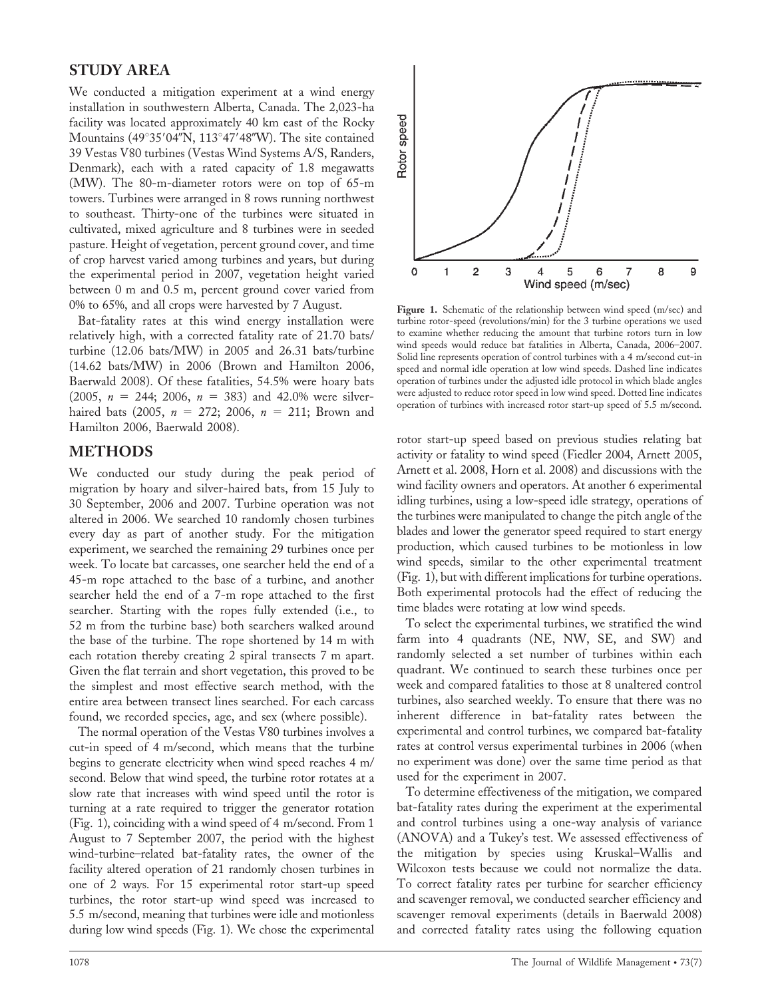# STUDY AREA

We conducted a mitigation experiment at a wind energy installation in southwestern Alberta, Canada. The 2,023-ha facility was located approximately 40 km east of the Rocky Mountains (49°35'04"N, 113°47'48"W). The site contained 39 Vestas V80 turbines (Vestas Wind Systems A/S, Randers, Denmark), each with a rated capacity of 1.8 megawatts (MW). The 80-m-diameter rotors were on top of 65-m towers. Turbines were arranged in 8 rows running northwest to southeast. Thirty-one of the turbines were situated in cultivated, mixed agriculture and 8 turbines were in seeded pasture. Height of vegetation, percent ground cover, and time of crop harvest varied among turbines and years, but during the experimental period in 2007, vegetation height varied between 0 m and 0.5 m, percent ground cover varied from 0% to 65%, and all crops were harvested by 7 August.

Bat-fatality rates at this wind energy installation were relatively high, with a corrected fatality rate of 21.70 bats/ turbine (12.06 bats/MW) in 2005 and 26.31 bats/turbine (14.62 bats/MW) in 2006 (Brown and Hamilton 2006, Baerwald 2008). Of these fatalities, 54.5% were hoary bats (2005,  $n = 244$ ; 2006,  $n = 383$ ) and 42.0% were silverhaired bats (2005,  $n = 272$ ; 2006,  $n = 211$ ; Brown and Hamilton 2006, Baerwald 2008).

# METHODS

We conducted our study during the peak period of migration by hoary and silver-haired bats, from 15 July to 30 September, 2006 and 2007. Turbine operation was not altered in 2006. We searched 10 randomly chosen turbines every day as part of another study. For the mitigation experiment, we searched the remaining 29 turbines once per week. To locate bat carcasses, one searcher held the end of a 45-m rope attached to the base of a turbine, and another searcher held the end of a 7-m rope attached to the first searcher. Starting with the ropes fully extended (i.e., to 52 m from the turbine base) both searchers walked around the base of the turbine. The rope shortened by 14 m with each rotation thereby creating 2 spiral transects 7 m apart. Given the flat terrain and short vegetation, this proved to be the simplest and most effective search method, with the entire area between transect lines searched. For each carcass found, we recorded species, age, and sex (where possible).

The normal operation of the Vestas V80 turbines involves a cut-in speed of 4 m/second, which means that the turbine begins to generate electricity when wind speed reaches 4 m/ second. Below that wind speed, the turbine rotor rotates at a slow rate that increases with wind speed until the rotor is turning at a rate required to trigger the generator rotation (Fig. 1), coinciding with a wind speed of 4 m/second. From 1 August to 7 September 2007, the period with the highest wind-turbine–related bat-fatality rates, the owner of the facility altered operation of 21 randomly chosen turbines in one of 2 ways. For 15 experimental rotor start-up speed turbines, the rotor start-up wind speed was increased to 5.5 m/second, meaning that turbines were idle and motionless during low wind speeds (Fig. 1). We chose the experimental



Figure 1. Schematic of the relationship between wind speed (m/sec) and turbine rotor-speed (revolutions/min) for the 3 turbine operations we used to examine whether reducing the amount that turbine rotors turn in low wind speeds would reduce bat fatalities in Alberta, Canada, 2006–2007. Solid line represents operation of control turbines with a 4 m/second cut-in speed and normal idle operation at low wind speeds. Dashed line indicates operation of turbines under the adjusted idle protocol in which blade angles were adjusted to reduce rotor speed in low wind speed. Dotted line indicates operation of turbines with increased rotor start-up speed of 5.5 m/second.

rotor start-up speed based on previous studies relating bat activity or fatality to wind speed (Fiedler 2004, Arnett 2005, Arnett et al. 2008, Horn et al. 2008) and discussions with the wind facility owners and operators. At another 6 experimental idling turbines, using a low-speed idle strategy, operations of the turbines were manipulated to change the pitch angle of the blades and lower the generator speed required to start energy production, which caused turbines to be motionless in low wind speeds, similar to the other experimental treatment (Fig. 1), but with different implications for turbine operations. Both experimental protocols had the effect of reducing the time blades were rotating at low wind speeds.

To select the experimental turbines, we stratified the wind farm into 4 quadrants (NE, NW, SE, and SW) and randomly selected a set number of turbines within each quadrant. We continued to search these turbines once per week and compared fatalities to those at 8 unaltered control turbines, also searched weekly. To ensure that there was no inherent difference in bat-fatality rates between the experimental and control turbines, we compared bat-fatality rates at control versus experimental turbines in 2006 (when no experiment was done) over the same time period as that used for the experiment in 2007.

To determine effectiveness of the mitigation, we compared bat-fatality rates during the experiment at the experimental and control turbines using a one-way analysis of variance (ANOVA) and a Tukey's test. We assessed effectiveness of the mitigation by species using Kruskal–Wallis and Wilcoxon tests because we could not normalize the data. To correct fatality rates per turbine for searcher efficiency and scavenger removal, we conducted searcher efficiency and scavenger removal experiments (details in Baerwald 2008) and corrected fatality rates using the following equation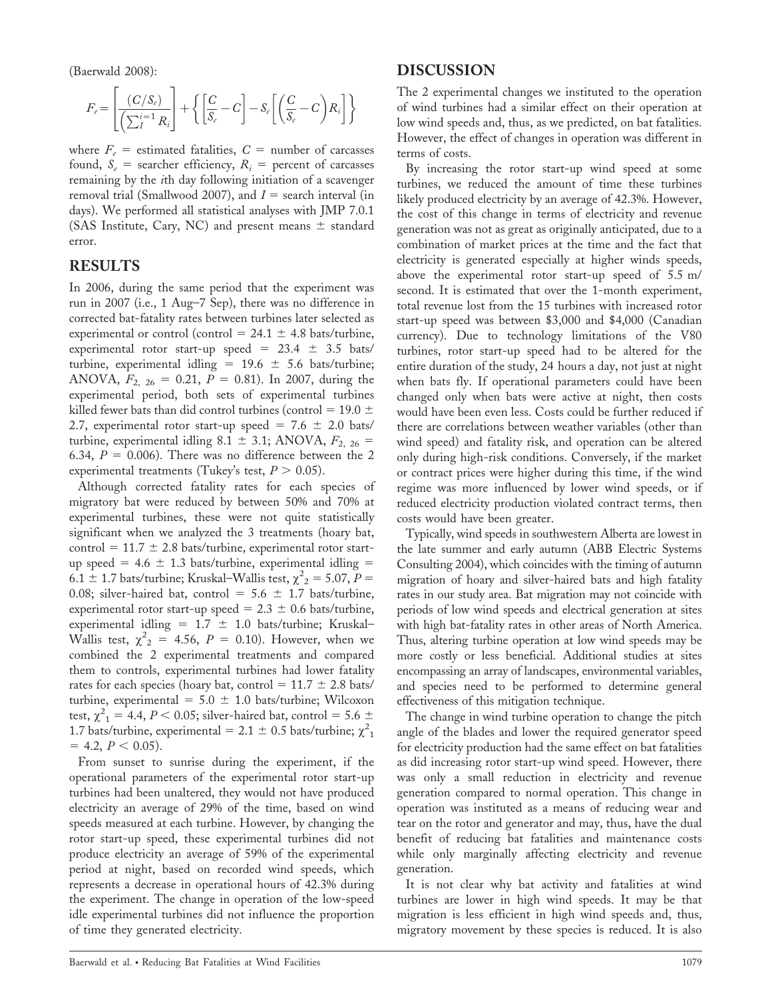(Baerwald 2008):

$$
F_e\!=\!\left[\!\frac{(C/S_e)}{\left(\sum_{I}^{i=1}R_i\!\right]}+\!\left\{\left[\frac{C}{S_e}-C\right]\!-\!S_e\!\left[\left(\frac{C}{S_e}-C\right)\!R_i\right]\right\}
$$

where  $F_e$  = estimated fatalities,  $C$  = number of carcasses found,  $S_e$  = searcher efficiency,  $R_i$  = percent of carcasses remaining by the ith day following initiation of a scavenger removal trial (Smallwood 2007), and  $I =$  search interval (in days). We performed all statistical analyses with JMP 7.0.1 (SAS Institute, Cary, NC) and present means  $\pm$  standard error.

## RESULTS

In 2006, during the same period that the experiment was run in 2007 (i.e., 1 Aug–7 Sep), there was no difference in corrected bat-fatality rates between turbines later selected as experimental or control (control =  $24.1 \pm 4.8$  bats/turbine, experimental rotor start-up speed =  $23.4 \pm 3.5$  bats/ turbine, experimental idling = 19.6  $\pm$  5.6 bats/turbine; ANOVA,  $F_{2, 26} = 0.21$ ,  $P = 0.81$ ). In 2007, during the experimental period, both sets of experimental turbines killed fewer bats than did control turbines (control = 19.0  $\pm$ 2.7, experimental rotor start-up speed =  $7.6 \pm 2.0$  bats/ turbine, experimental idling 8.1  $\pm$  3.1; ANOVA,  $F_{2, 26}$  = 6.34,  $P = 0.006$ ). There was no difference between the 2 experimental treatments (Tukey's test,  $P > 0.05$ ).

Although corrected fatality rates for each species of migratory bat were reduced by between 50% and 70% at experimental turbines, these were not quite statistically significant when we analyzed the 3 treatments (hoary bat, control =  $11.7 \pm 2.8$  bats/turbine, experimental rotor startup speed = 4.6  $\pm$  1.3 bats/turbine, experimental idling = 6.1  $\pm$  1.7 bats/turbine; Kruskal–Wallis test,  $\chi^2{}_{2} = 5.07, P =$ 0.08; silver-haired bat, control =  $5.6 \pm 1.7$  bats/turbine, experimental rotor start-up speed =  $2.3 \pm 0.6$  bats/turbine, experimental idling =  $1.7 \pm 1.0$  bats/turbine; Kruskal– Wallis test,  $\chi^2_{2} = 4.56$ ,  $P = 0.10$ ). However, when we combined the 2 experimental treatments and compared them to controls, experimental turbines had lower fatality rates for each species (hoary bat, control =  $11.7 \pm 2.8$  bats/ turbine, experimental =  $5.0 \pm 1.0$  bats/turbine; Wilcoxon test,  $\chi^2_{1}$  = 4.4, *P* < 0.05; silver-haired bat, control = 5.6  $\pm$ 1.7 bats/turbine, experimental = 2.1  $\pm$  0.5 bats/turbine;  $\chi^2$ <sub>1</sub>  $= 4.2, P < 0.05$ ).

From sunset to sunrise during the experiment, if the operational parameters of the experimental rotor start-up turbines had been unaltered, they would not have produced electricity an average of 29% of the time, based on wind speeds measured at each turbine. However, by changing the rotor start-up speed, these experimental turbines did not produce electricity an average of 59% of the experimental period at night, based on recorded wind speeds, which represents a decrease in operational hours of 42.3% during the experiment. The change in operation of the low-speed idle experimental turbines did not influence the proportion of time they generated electricity.

## DISCUSSION

The 2 experimental changes we instituted to the operation of wind turbines had a similar effect on their operation at low wind speeds and, thus, as we predicted, on bat fatalities. However, the effect of changes in operation was different in terms of costs.

By increasing the rotor start-up wind speed at some turbines, we reduced the amount of time these turbines likely produced electricity by an average of 42.3%. However, the cost of this change in terms of electricity and revenue generation was not as great as originally anticipated, due to a combination of market prices at the time and the fact that electricity is generated especially at higher winds speeds, above the experimental rotor start-up speed of 5.5 m/ second. It is estimated that over the 1-month experiment, total revenue lost from the 15 turbines with increased rotor start-up speed was between \$3,000 and \$4,000 (Canadian currency). Due to technology limitations of the V80 turbines, rotor start-up speed had to be altered for the entire duration of the study, 24 hours a day, not just at night when bats fly. If operational parameters could have been changed only when bats were active at night, then costs would have been even less. Costs could be further reduced if there are correlations between weather variables (other than wind speed) and fatality risk, and operation can be altered only during high-risk conditions. Conversely, if the market or contract prices were higher during this time, if the wind regime was more influenced by lower wind speeds, or if reduced electricity production violated contract terms, then costs would have been greater.

Typically, wind speeds in southwestern Alberta are lowest in the late summer and early autumn (ABB Electric Systems Consulting 2004), which coincides with the timing of autumn migration of hoary and silver-haired bats and high fatality rates in our study area. Bat migration may not coincide with periods of low wind speeds and electrical generation at sites with high bat-fatality rates in other areas of North America. Thus, altering turbine operation at low wind speeds may be more costly or less beneficial. Additional studies at sites encompassing an array of landscapes, environmental variables, and species need to be performed to determine general effectiveness of this mitigation technique.

The change in wind turbine operation to change the pitch angle of the blades and lower the required generator speed for electricity production had the same effect on bat fatalities as did increasing rotor start-up wind speed. However, there was only a small reduction in electricity and revenue generation compared to normal operation. This change in operation was instituted as a means of reducing wear and tear on the rotor and generator and may, thus, have the dual benefit of reducing bat fatalities and maintenance costs while only marginally affecting electricity and revenue generation.

It is not clear why bat activity and fatalities at wind turbines are lower in high wind speeds. It may be that migration is less efficient in high wind speeds and, thus, migratory movement by these species is reduced. It is also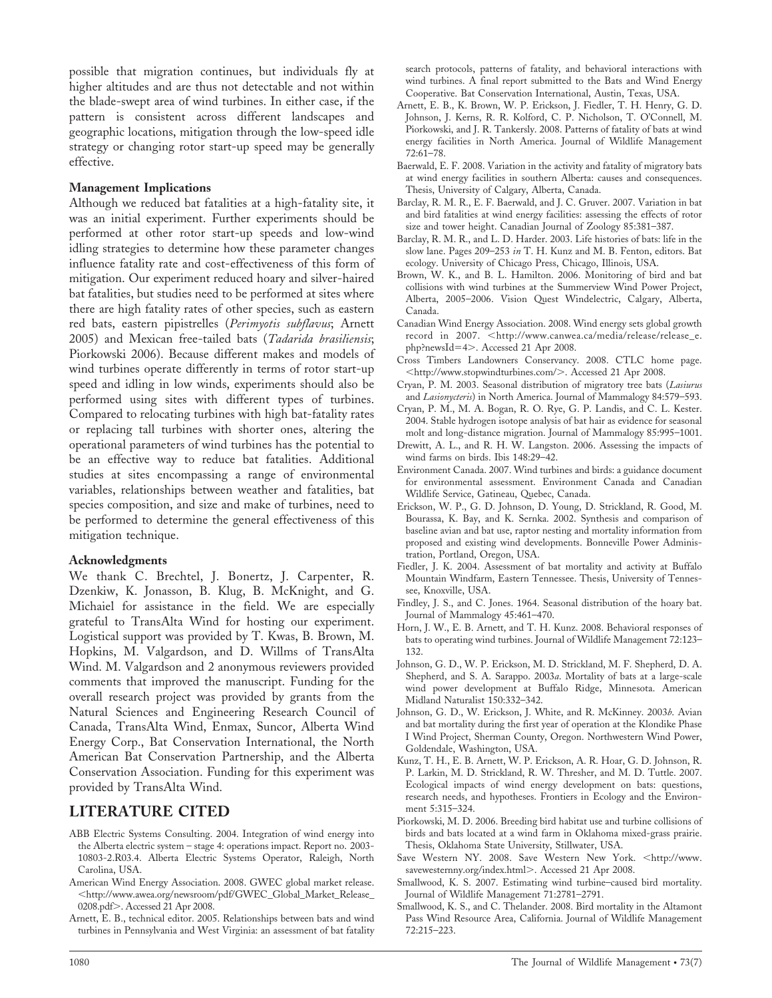possible that migration continues, but individuals fly at higher altitudes and are thus not detectable and not within the blade-swept area of wind turbines. In either case, if the pattern is consistent across different landscapes and geographic locations, mitigation through the low-speed idle strategy or changing rotor start-up speed may be generally effective.

#### Management Implications

Although we reduced bat fatalities at a high-fatality site, it was an initial experiment. Further experiments should be performed at other rotor start-up speeds and low-wind idling strategies to determine how these parameter changes influence fatality rate and cost-effectiveness of this form of mitigation. Our experiment reduced hoary and silver-haired bat fatalities, but studies need to be performed at sites where there are high fatality rates of other species, such as eastern red bats, eastern pipistrelles (Perimyotis subflavus; Arnett 2005) and Mexican free-tailed bats (Tadarida brasiliensis; Piorkowski 2006). Because different makes and models of wind turbines operate differently in terms of rotor start-up speed and idling in low winds, experiments should also be performed using sites with different types of turbines. Compared to relocating turbines with high bat-fatality rates or replacing tall turbines with shorter ones, altering the operational parameters of wind turbines has the potential to be an effective way to reduce bat fatalities. Additional studies at sites encompassing a range of environmental variables, relationships between weather and fatalities, bat species composition, and size and make of turbines, need to be performed to determine the general effectiveness of this mitigation technique.

#### Acknowledgments

We thank C. Brechtel, J. Bonertz, J. Carpenter, R. Dzenkiw, K. Jonasson, B. Klug, B. McKnight, and G. Michaiel for assistance in the field. We are especially grateful to TransAlta Wind for hosting our experiment. Logistical support was provided by T. Kwas, B. Brown, M. Hopkins, M. Valgardson, and D. Willms of TransAlta Wind. M. Valgardson and 2 anonymous reviewers provided comments that improved the manuscript. Funding for the overall research project was provided by grants from the Natural Sciences and Engineering Research Council of Canada, TransAlta Wind, Enmax, Suncor, Alberta Wind Energy Corp., Bat Conservation International, the North American Bat Conservation Partnership, and the Alberta Conservation Association. Funding for this experiment was provided by TransAlta Wind.

## LITERATURE CITED

- ABB Electric Systems Consulting. 2004. Integration of wind energy into the Alberta electric system – stage 4: operations impact. Report no. 2003- 10803-2.R03.4. Alberta Electric Systems Operator, Raleigh, North Carolina, USA.
- American Wind Energy Association. 2008. GWEC global market release. <http://www.awea.org/newsroom/pdf/GWEC\_Global\_Market\_Release\_ 0208.pdf>. Accessed 21 Apr 2008.
- Arnett, E. B., technical editor. 2005. Relationships between bats and wind turbines in Pennsylvania and West Virginia: an assessment of bat fatality

search protocols, patterns of fatality, and behavioral interactions with wind turbines. A final report submitted to the Bats and Wind Energy Cooperative. Bat Conservation International, Austin, Texas, USA.

- Arnett, E. B., K. Brown, W. P. Erickson, J. Fiedler, T. H. Henry, G. D. Johnson, J. Kerns, R. R. Kolford, C. P. Nicholson, T. O'Connell, M. Piorkowski, and J. R. Tankersly. 2008. Patterns of fatality of bats at wind energy facilities in North America. Journal of Wildlife Management 72:61–78.
- Baerwald, E. F. 2008. Variation in the activity and fatality of migratory bats at wind energy facilities in southern Alberta: causes and consequences. Thesis, University of Calgary, Alberta, Canada.
- Barclay, R. M. R., E. F. Baerwald, and J. C. Gruver. 2007. Variation in bat and bird fatalities at wind energy facilities: assessing the effects of rotor size and tower height. Canadian Journal of Zoology 85:381–387.
- Barclay, R. M. R., and L. D. Harder. 2003. Life histories of bats: life in the slow lane. Pages 209-253 in T. H. Kunz and M. B. Fenton, editors. Bat ecology. University of Chicago Press, Chicago, Illinois, USA.
- Brown, W. K., and B. L. Hamilton. 2006. Monitoring of bird and bat collisions with wind turbines at the Summerview Wind Power Project, Alberta, 2005–2006. Vision Quest Windelectric, Calgary, Alberta, Canada.
- Canadian Wind Energy Association. 2008. Wind energy sets global growth record in 2007. <http://www.canwea.ca/media/release/release\_e. php?newsId=4>. Accessed 21 Apr 2008.
- Cross Timbers Landowners Conservancy. 2008. CTLC home page. <http://www.stopwindturbines.com/>. Accessed 21 Apr 2008.
- Cryan, P. M. 2003. Seasonal distribution of migratory tree bats (Lasiurus and Lasionycteris) in North America. Journal of Mammalogy 84:579–593.
- Cryan, P. M., M. A. Bogan, R. O. Rye, G. P. Landis, and C. L. Kester. 2004. Stable hydrogen isotope analysis of bat hair as evidence for seasonal molt and long-distance migration. Journal of Mammalogy 85:995–1001.
- Drewitt, A. L., and R. H. W. Langston. 2006. Assessing the impacts of wind farms on birds. Ibis 148:29–42.
- Environment Canada. 2007. Wind turbines and birds: a guidance document for environmental assessment. Environment Canada and Canadian Wildlife Service, Gatineau, Quebec, Canada.
- Erickson, W. P., G. D. Johnson, D. Young, D. Strickland, R. Good, M. Bourassa, K. Bay, and K. Sernka. 2002. Synthesis and comparison of baseline avian and bat use, raptor nesting and mortality information from proposed and existing wind developments. Bonneville Power Administration, Portland, Oregon, USA.
- Fiedler, J. K. 2004. Assessment of bat mortality and activity at Buffalo Mountain Windfarm, Eastern Tennessee. Thesis, University of Tennessee, Knoxville, USA.
- Findley, J. S., and C. Jones. 1964. Seasonal distribution of the hoary bat. Journal of Mammalogy 45:461–470.
- Horn, J. W., E. B. Arnett, and T. H. Kunz. 2008. Behavioral responses of bats to operating wind turbines. Journal of Wildlife Management 72:123– 132.
- Johnson, G. D., W. P. Erickson, M. D. Strickland, M. F. Shepherd, D. A. Shepherd, and S. A. Sarappo. 2003a. Mortality of bats at a large-scale wind power development at Buffalo Ridge, Minnesota. American Midland Naturalist 150:332–342.
- Johnson, G. D., W. Erickson, J. White, and R. McKinney. 2003b. Avian and bat mortality during the first year of operation at the Klondike Phase I Wind Project, Sherman County, Oregon. Northwestern Wind Power, Goldendale, Washington, USA.
- Kunz, T. H., E. B. Arnett, W. P. Erickson, A. R. Hoar, G. D. Johnson, R. P. Larkin, M. D. Strickland, R. W. Thresher, and M. D. Tuttle. 2007. Ecological impacts of wind energy development on bats: questions, research needs, and hypotheses. Frontiers in Ecology and the Environment 5:315–324.
- Piorkowski, M. D. 2006. Breeding bird habitat use and turbine collisions of birds and bats located at a wind farm in Oklahoma mixed-grass prairie. Thesis, Oklahoma State University, Stillwater, USA.
- Save Western NY. 2008. Save Western New York. <http://www. savewesternny.org/index.html>. Accessed 21 Apr 2008.
- Smallwood, K. S. 2007. Estimating wind turbine–caused bird mortality. Journal of Wildlife Management 71:2781–2791.
- Smallwood, K. S., and C. Thelander. 2008. Bird mortality in the Altamont Pass Wind Resource Area, California. Journal of Wildlife Management 72:215–223.